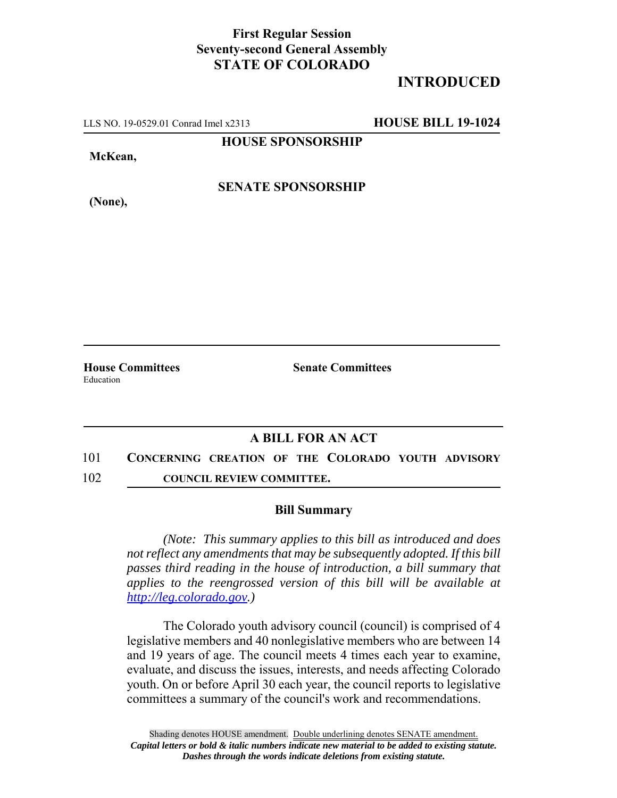## **First Regular Session Seventy-second General Assembly STATE OF COLORADO**

## **INTRODUCED**

LLS NO. 19-0529.01 Conrad Imel x2313 **HOUSE BILL 19-1024**

**HOUSE SPONSORSHIP**

**McKean,**

**(None),**

**SENATE SPONSORSHIP**

Education

**House Committees Senate Committees** 

## **A BILL FOR AN ACT**

- 101 **CONCERNING CREATION OF THE COLORADO YOUTH ADVISORY**
- 102 **COUNCIL REVIEW COMMITTEE.**

## **Bill Summary**

*(Note: This summary applies to this bill as introduced and does not reflect any amendments that may be subsequently adopted. If this bill passes third reading in the house of introduction, a bill summary that applies to the reengrossed version of this bill will be available at http://leg.colorado.gov.)*

The Colorado youth advisory council (council) is comprised of 4 legislative members and 40 nonlegislative members who are between 14 and 19 years of age. The council meets 4 times each year to examine, evaluate, and discuss the issues, interests, and needs affecting Colorado youth. On or before April 30 each year, the council reports to legislative committees a summary of the council's work and recommendations.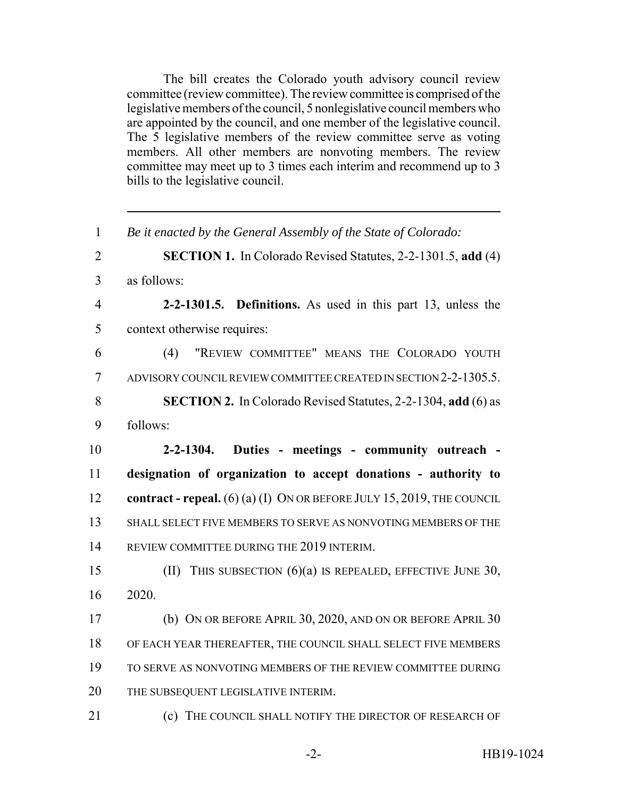The bill creates the Colorado youth advisory council review committee (review committee). The review committee is comprised of the legislative members of the council, 5 nonlegislative council members who are appointed by the council, and one member of the legislative council. The 5 legislative members of the review committee serve as voting members. All other members are nonvoting members. The review committee may meet up to 3 times each interim and recommend up to 3 bills to the legislative council.

 *Be it enacted by the General Assembly of the State of Colorado:* **SECTION 1.** In Colorado Revised Statutes, 2-2-1301.5, **add** (4) as follows: **2-2-1301.5. Definitions.** As used in this part 13, unless the context otherwise requires: (4) "REVIEW COMMITTEE" MEANS THE COLORADO YOUTH ADVISORY COUNCIL REVIEW COMMITTEE CREATED IN SECTION 2-2-1305.5. **SECTION 2.** In Colorado Revised Statutes, 2-2-1304, **add** (6) as follows: **2-2-1304. Duties - meetings - community outreach - designation of organization to accept donations - authority to contract - repeal.** (6) (a) (I) ON OR BEFORE JULY 15, 2019, THE COUNCIL SHALL SELECT FIVE MEMBERS TO SERVE AS NONVOTING MEMBERS OF THE REVIEW COMMITTEE DURING THE 2019 INTERIM. (II) THIS SUBSECTION (6)(a) IS REPEALED, EFFECTIVE JUNE 30, 2020. (b) ON OR BEFORE APRIL 30, 2020, AND ON OR BEFORE APRIL 30 OF EACH YEAR THEREAFTER, THE COUNCIL SHALL SELECT FIVE MEMBERS TO SERVE AS NONVOTING MEMBERS OF THE REVIEW COMMITTEE DURING THE SUBSEQUENT LEGISLATIVE INTERIM. **(c)** THE COUNCIL SHALL NOTIFY THE DIRECTOR OF RESEARCH OF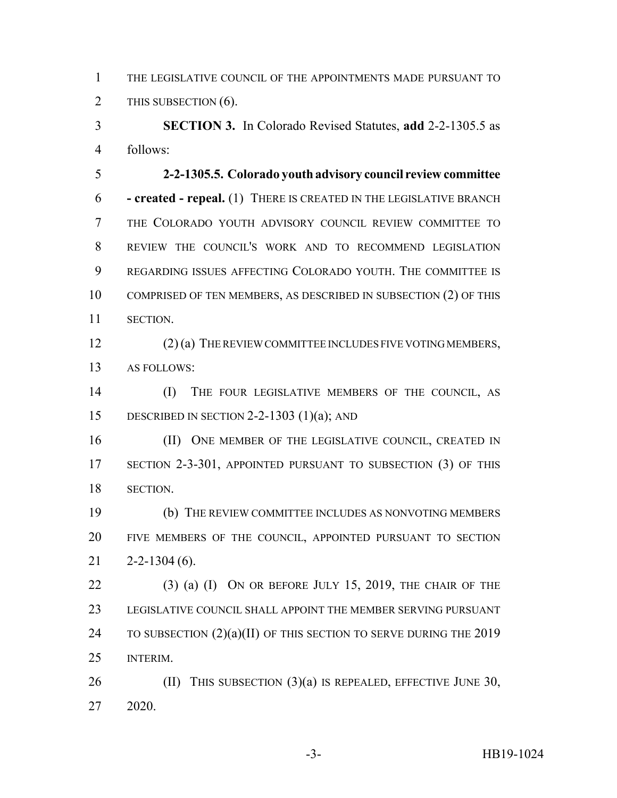THE LEGISLATIVE COUNCIL OF THE APPOINTMENTS MADE PURSUANT TO 2 THIS SUBSECTION (6).

 **SECTION 3.** In Colorado Revised Statutes, **add** 2-2-1305.5 as follows:

 **2-2-1305.5. Colorado youth advisory council review committee - created - repeal.** (1) THERE IS CREATED IN THE LEGISLATIVE BRANCH THE COLORADO YOUTH ADVISORY COUNCIL REVIEW COMMITTEE TO REVIEW THE COUNCIL'S WORK AND TO RECOMMEND LEGISLATION REGARDING ISSUES AFFECTING COLORADO YOUTH. THE COMMITTEE IS COMPRISED OF TEN MEMBERS, AS DESCRIBED IN SUBSECTION (2) OF THIS SECTION.

 (2) (a) THE REVIEW COMMITTEE INCLUDES FIVE VOTING MEMBERS, AS FOLLOWS:

 (I) THE FOUR LEGISLATIVE MEMBERS OF THE COUNCIL, AS DESCRIBED IN SECTION 2-2-1303 (1)(a); AND

16 (II) ONE MEMBER OF THE LEGISLATIVE COUNCIL, CREATED IN SECTION 2-3-301, APPOINTED PURSUANT TO SUBSECTION (3) OF THIS SECTION.

 (b) THE REVIEW COMMITTEE INCLUDES AS NONVOTING MEMBERS FIVE MEMBERS OF THE COUNCIL, APPOINTED PURSUANT TO SECTION  $21 \quad 2 - 2 - 1304 \quad (6)$ .

 (3) (a) (I) ON OR BEFORE JULY 15, 2019, THE CHAIR OF THE LEGISLATIVE COUNCIL SHALL APPOINT THE MEMBER SERVING PURSUANT 24 TO SUBSECTION  $(2)(a)(II)$  OF THIS SECTION TO SERVE DURING THE 2019 INTERIM.

26 (II) THIS SUBSECTION  $(3)(a)$  IS REPEALED, EFFECTIVE JUNE 30, 2020.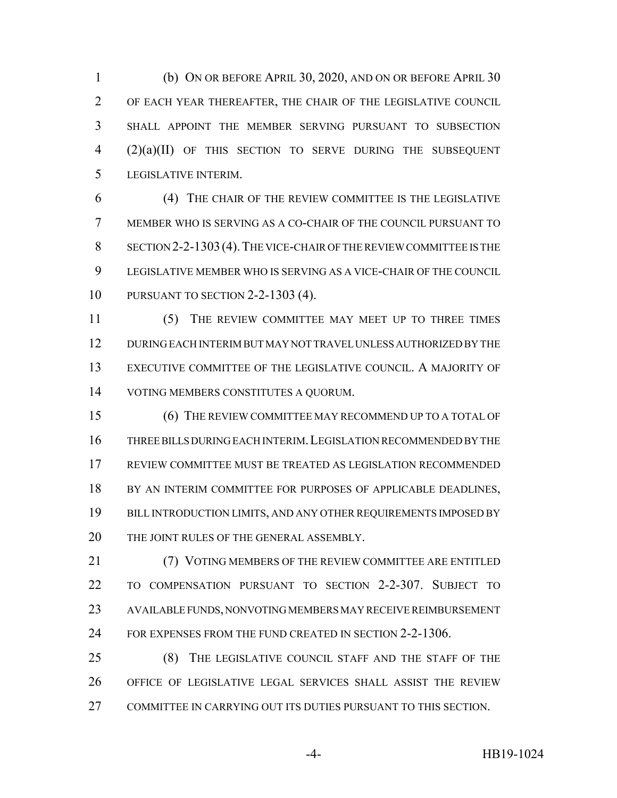(b) ON OR BEFORE APRIL 30, 2020, AND ON OR BEFORE APRIL 30 OF EACH YEAR THEREAFTER, THE CHAIR OF THE LEGISLATIVE COUNCIL SHALL APPOINT THE MEMBER SERVING PURSUANT TO SUBSECTION (2)(a)(II) OF THIS SECTION TO SERVE DURING THE SUBSEQUENT LEGISLATIVE INTERIM.

 (4) THE CHAIR OF THE REVIEW COMMITTEE IS THE LEGISLATIVE MEMBER WHO IS SERVING AS A CO-CHAIR OF THE COUNCIL PURSUANT TO SECTION 2-2-1303(4).THE VICE-CHAIR OF THE REVIEW COMMITTEE IS THE LEGISLATIVE MEMBER WHO IS SERVING AS A VICE-CHAIR OF THE COUNCIL PURSUANT TO SECTION 2-2-1303 (4).

 (5) THE REVIEW COMMITTEE MAY MEET UP TO THREE TIMES DURING EACH INTERIM BUT MAY NOT TRAVEL UNLESS AUTHORIZED BY THE EXECUTIVE COMMITTEE OF THE LEGISLATIVE COUNCIL. A MAJORITY OF VOTING MEMBERS CONSTITUTES A QUORUM.

 (6) THE REVIEW COMMITTEE MAY RECOMMEND UP TO A TOTAL OF THREE BILLS DURING EACH INTERIM.LEGISLATION RECOMMENDED BY THE REVIEW COMMITTEE MUST BE TREATED AS LEGISLATION RECOMMENDED 18 BY AN INTERIM COMMITTEE FOR PURPOSES OF APPLICABLE DEADLINES, BILL INTRODUCTION LIMITS, AND ANY OTHER REQUIREMENTS IMPOSED BY 20 THE JOINT RULES OF THE GENERAL ASSEMBLY.

21 (7) VOTING MEMBERS OF THE REVIEW COMMITTEE ARE ENTITLED TO COMPENSATION PURSUANT TO SECTION 2-2-307. SUBJECT TO AVAILABLE FUNDS, NONVOTING MEMBERS MAY RECEIVE REIMBURSEMENT 24 FOR EXPENSES FROM THE FUND CREATED IN SECTION 2-2-1306.

 (8) THE LEGISLATIVE COUNCIL STAFF AND THE STAFF OF THE OFFICE OF LEGISLATIVE LEGAL SERVICES SHALL ASSIST THE REVIEW COMMITTEE IN CARRYING OUT ITS DUTIES PURSUANT TO THIS SECTION.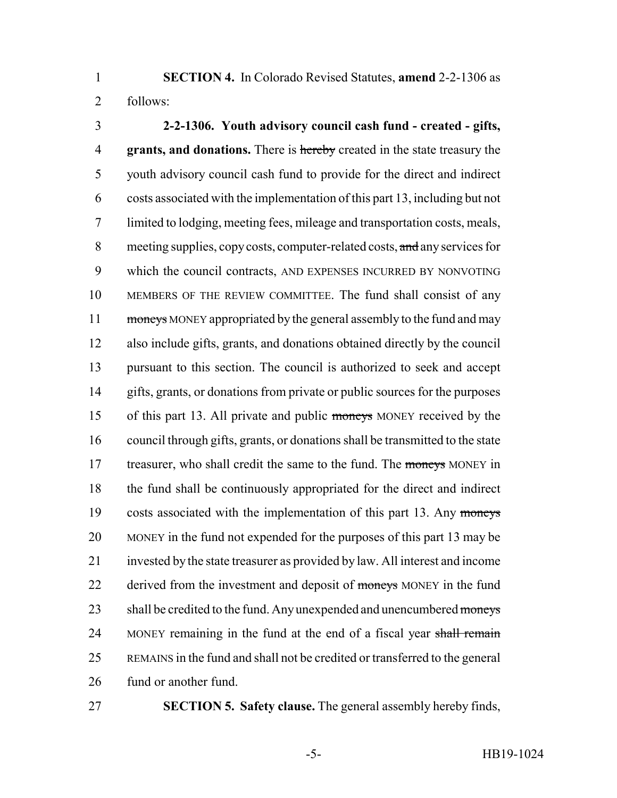**SECTION 4.** In Colorado Revised Statutes, **amend** 2-2-1306 as follows:

 **2-2-1306. Youth advisory council cash fund - created - gifts, grants, and donations.** There is hereby created in the state treasury the youth advisory council cash fund to provide for the direct and indirect costs associated with the implementation of this part 13, including but not limited to lodging, meeting fees, mileage and transportation costs, meals, 8 meeting supplies, copy costs, computer-related costs, and any services for which the council contracts, AND EXPENSES INCURRED BY NONVOTING MEMBERS OF THE REVIEW COMMITTEE. The fund shall consist of any 11 moneys MONEY appropriated by the general assembly to the fund and may also include gifts, grants, and donations obtained directly by the council pursuant to this section. The council is authorized to seek and accept gifts, grants, or donations from private or public sources for the purposes of this part 13. All private and public moneys MONEY received by the council through gifts, grants, or donations shall be transmitted to the state 17 treasurer, who shall credit the same to the fund. The moneys MONEY in the fund shall be continuously appropriated for the direct and indirect 19 costs associated with the implementation of this part 13. Any moneys MONEY in the fund not expended for the purposes of this part 13 may be invested by the state treasurer as provided by law. All interest and income 22 derived from the investment and deposit of moneys MONEY in the fund 23 shall be credited to the fund. Any unexpended and unencumbered moneys 24 MONEY remaining in the fund at the end of a fiscal year shall remain REMAINS in the fund and shall not be credited or transferred to the general fund or another fund.

**SECTION 5. Safety clause.** The general assembly hereby finds,

-5- HB19-1024